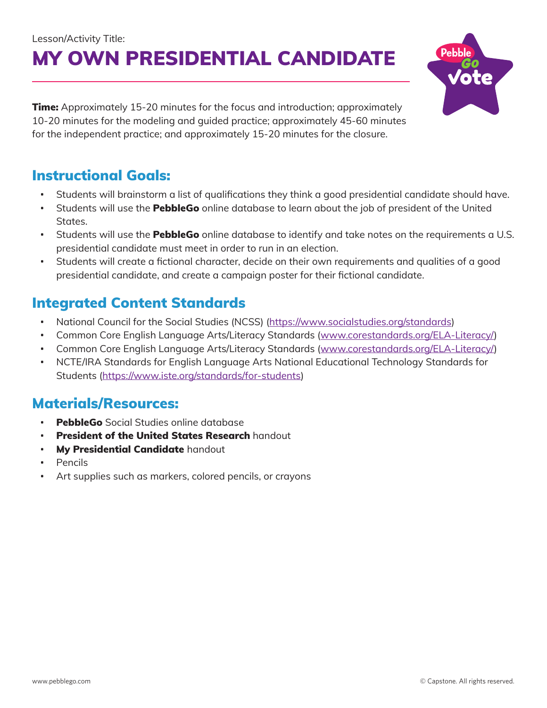# Lesson/Activity Title: MY OWN PRESIDENTIAL CANDIDATE



#### Instructional Goals:

- Students will brainstorm a list of qualifications they think a good presidential candidate should have.
- Students will use the **PebbleGo** online database to learn about the job of president of the United States.
- Students will use the **PebbleGo** online database to identify and take notes on the requirements a U.S. presidential candidate must meet in order to run in an election.
- Students will create a fictional character, decide on their own requirements and qualities of a good presidential candidate, and create a campaign poster for their fictional candidate.

#### Integrated Content Standards

- National Council for the Social Studies (NCSS) ([https://www.socialstudies.org/standards\)](https://www.socialstudies.org/standards)
- Common Core English Language Arts/Literacy Standards ([www.corestandards.org/ELA-Literacy/](http://www.corestandards.org/ELA-Literacy/))
- Common Core English Language Arts/Literacy Standards ([www.corestandards.org/ELA-Literacy/](http://www.corestandards.org/ELA-Literacy/))
- NCTE/IRA Standards for English Language Arts National Educational Technology Standards for Students ([https://www.iste.org/standards/for-students\)](https://www.iste.org/standards/for-students)

#### Materials/Resources:

- **PebbleGo** Social Studies online database
- **President of the United States Research handout**
- My Presidential Candidate handout
- **Pencils**
- Art supplies such as markers, colored pencils, or crayons

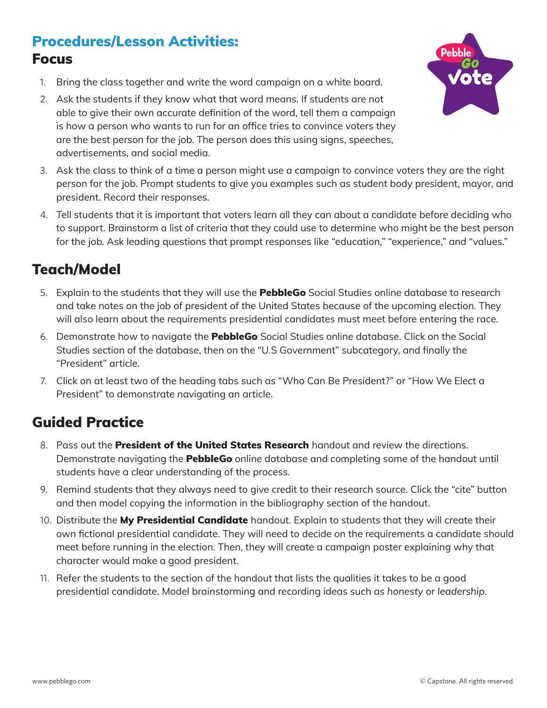## Procedures/Lesson Activities: Focus

- 1. Bring the class together and write the word campaign on a white board.
- 2. Ask the students if they know what that word means. If students are not able to give their own accurate definition of the word, tell them a campaign is how a person who wants to run for an office tries to convince voters they are the best person for the job. The person does this using signs, speeches, advertisements, and social media.



- 3. Ask the class to think of a time a person might use a campaign to convince voters they are the right person for the job. Prompt students to give you examples such as student body president, mayor, and president. Record their responses.
- 4. Tell students that it is important that voters learn all they can about a candidate before deciding who to support. Brainstorm a list of criteria that they could use to determine who might be the best person for the job. Ask leading questions that prompt responses like "education," "experience," and "values."

#### Teach/Model

- 5. Explain to the students that they will use the **PebbleGo** Social Studies online database to research and take notes on the job of president of the United States because of the upcoming election. They will also learn about the requirements presidential candidates must meet before entering the race.
- 6. Demonstrate how to navigate the **PebbleGo** Social Studies online database. Click on the Social Studies section of the database, then on the "U.S Government" subcategory, and finally the "President" article.
- 7. Click on at least two of the heading tabs such as "Who Can Be President?" or "How We Elect a President" to demonstrate navigating an article.

# Guided Practice

- 8. Pass out the **President of the United States Research** handout and review the directions. Demonstrate navigating the **PebbleGo** online database and completing some of the handout until students have a clear understanding of the process.
- 9. Remind students that they always need to give credit to their research source. Click the "cite" button and then model copying the information in the bibliography section of the handout.
- 10. Distribute the My Presidential Candidate handout. Explain to students that they will create their own fictional presidential candidate. They will need to decide on the requirements a candidate should meet before running in the election. Then, they will create a campaign poster explaining why that character would make a good president.
- 11. Refer the students to the section of the handout that lists the qualities it takes to be a good presidential candidate. Model brainstorming and recording ideas such as *honesty* or *leadership*.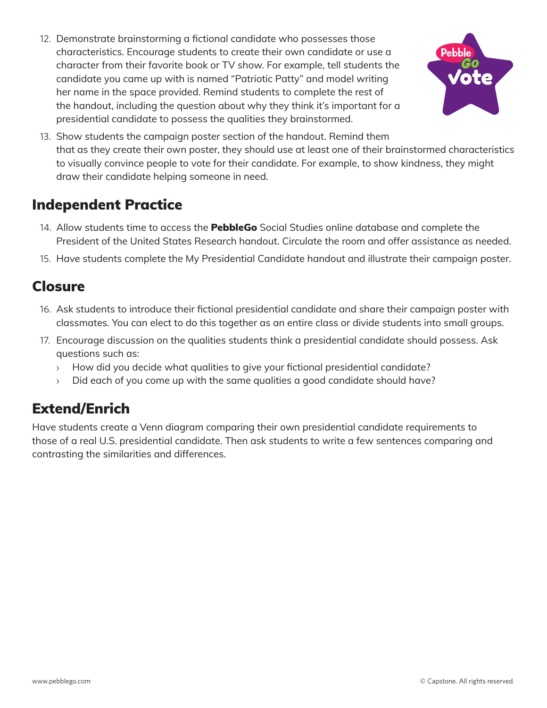12. Demonstrate brainstorming a fictional candidate who possesses those characteristics. Encourage students to create their own candidate or use a character from their favorite book or TV show. For example, tell students the candidate you came up with is named "Patriotic Patty" and model writing her name in the space provided. Remind students to complete the rest of the handout, including the question about why they think it's important for a presidential candidate to possess the qualities they brainstormed.



13. Show students the campaign poster section of the handout. Remind them that as they create their own poster, they should use at least one of their brainstormed characteristics to visually convince people to vote for their candidate. For example, to show kindness, they might draw their candidate helping someone in need.

### Independent Practice

- 14. Allow students time to access the **PebbleGo** Social Studies online database and complete the President of the United States Research handout. Circulate the room and offer assistance as needed.
- 15. Have students complete the My Presidential Candidate handout and illustrate their campaign poster.

#### Closure

- 16. Ask students to introduce their fictional presidential candidate and share their campaign poster with classmates. You can elect to do this together as an entire class or divide students into small groups.
- 17. Encourage discussion on the qualities students think a presidential candidate should possess. Ask questions such as:
	- › How did you decide what qualities to give your fictional presidential candidate?
	- › Did each of you come up with the same qualities a good candidate should have?

# Extend/Enrich

Have students create a Venn diagram comparing their own presidential candidate requirements to those of a real U.S. presidential candidate. Then ask students to write a few sentences comparing and contrasting the similarities and differences.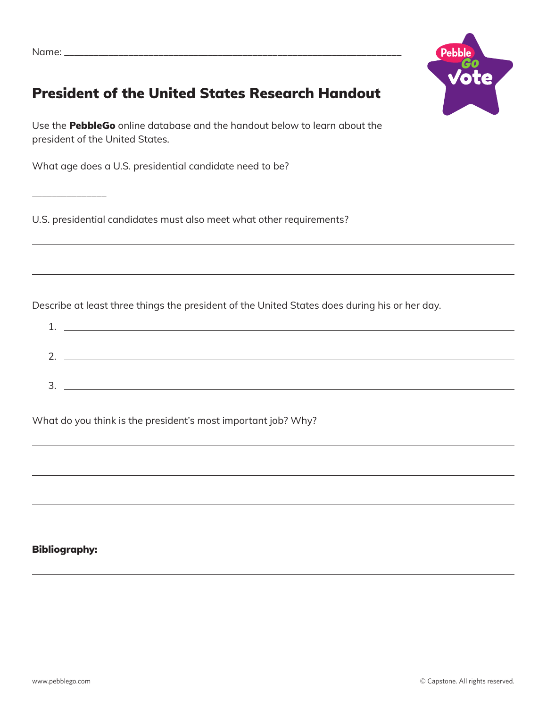\_\_\_\_\_\_\_\_\_\_\_\_\_\_\_



# President of the United States Research Handout

Use the **PebbleGo** online database and the handout below to learn about the president of the United States.

What age does a U.S. presidential candidate need to be?

U.S. presidential candidates must also meet what other requirements?

Describe at least three things the president of the United States does during his or her day.

| ົ |  |
|---|--|
|   |  |
| っ |  |
|   |  |

What do you think is the president's most important job? Why?

#### Bibliography: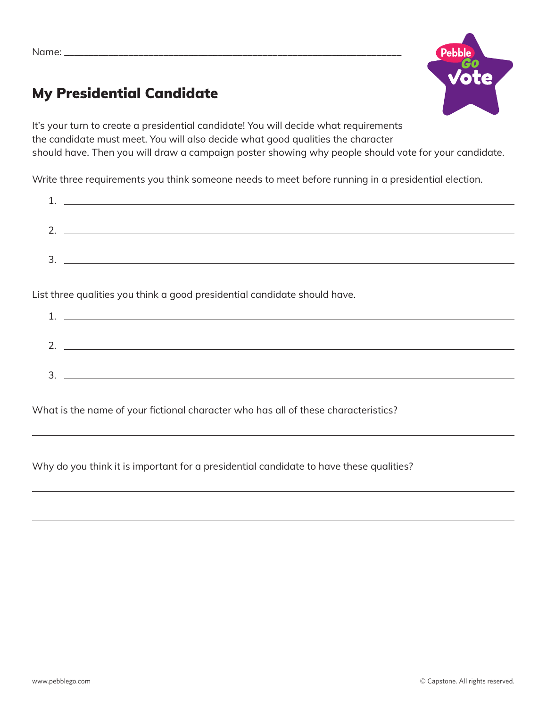

# My Presidential Candidate

It's your turn to create a presidential candidate! You will decide what requirements the candidate must meet. You will also decide what good qualities the character should have. Then you will draw a campaign poster showing why people should vote for your candidate.

Write three requirements you think someone needs to meet before running in a presidential election.

| ⌒<br><u>.</u> |  |  |
|---------------|--|--|
|               |  |  |
| っ<br>، ب      |  |  |
|               |  |  |

List three qualities you think a good presidential candidate should have.

| ົາ<br><u>.</u> |  |
|----------------|--|
|                |  |
| ∍<br>ັ         |  |
|                |  |

What is the name of your fictional character who has all of these characteristics?

Why do you think it is important for a presidential candidate to have these qualities?